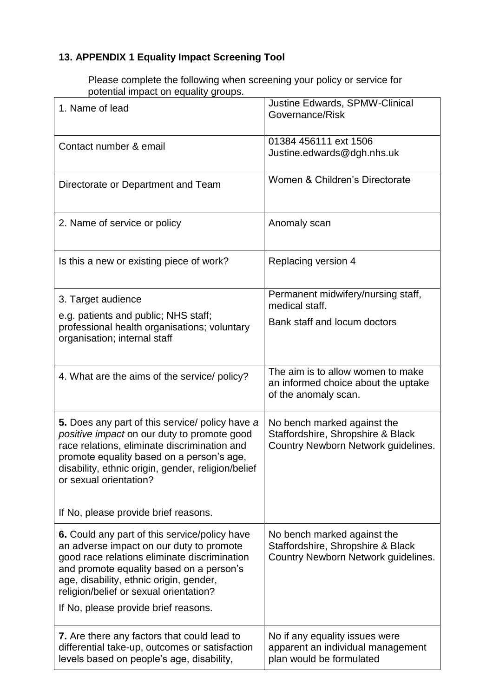## **13. APPENDIX 1 Equality Impact Screening Tool**

Please complete the following when screening your policy or service for potential impact on equality groups.

| 1. Name of lead                                                                                                                                                                                                                                                                                                           | <b>Justine Edwards, SPMW-Clinical</b><br>Governance/Risk                                                |
|---------------------------------------------------------------------------------------------------------------------------------------------------------------------------------------------------------------------------------------------------------------------------------------------------------------------------|---------------------------------------------------------------------------------------------------------|
| Contact number & email                                                                                                                                                                                                                                                                                                    | 01384 456111 ext 1506<br>Justine.edwards@dgh.nhs.uk                                                     |
| Directorate or Department and Team                                                                                                                                                                                                                                                                                        | Women & Children's Directorate                                                                          |
| 2. Name of service or policy                                                                                                                                                                                                                                                                                              | Anomaly scan                                                                                            |
| Is this a new or existing piece of work?                                                                                                                                                                                                                                                                                  | Replacing version 4                                                                                     |
| 3. Target audience                                                                                                                                                                                                                                                                                                        | Permanent midwifery/nursing staff,<br>medical staff.                                                    |
| e.g. patients and public; NHS staff;<br>professional health organisations; voluntary<br>organisation; internal staff                                                                                                                                                                                                      | Bank staff and locum doctors                                                                            |
| 4. What are the aims of the service/ policy?                                                                                                                                                                                                                                                                              | The aim is to allow women to make<br>an informed choice about the uptake<br>of the anomaly scan.        |
| 5. Does any part of this service/ policy have a<br>positive impact on our duty to promote good<br>race relations, eliminate discrimination and<br>promote equality based on a person's age,<br>disability, ethnic origin, gender, religion/belief<br>or sexual orientation?                                               | No bench marked against the<br>Staffordshire, Shropshire & Black<br>Country Newborn Network guidelines. |
| If No, please provide brief reasons.                                                                                                                                                                                                                                                                                      |                                                                                                         |
| <b>6.</b> Could any part of this service/policy have<br>an adverse impact on our duty to promote<br>good race relations eliminate discrimination<br>and promote equality based on a person's<br>age, disability, ethnic origin, gender,<br>religion/belief or sexual orientation?<br>If No, please provide brief reasons. | No bench marked against the<br>Staffordshire, Shropshire & Black<br>Country Newborn Network guidelines. |
| <b>7.</b> Are there any factors that could lead to<br>differential take-up, outcomes or satisfaction<br>levels based on people's age, disability,                                                                                                                                                                         | No if any equality issues were<br>apparent an individual management<br>plan would be formulated         |